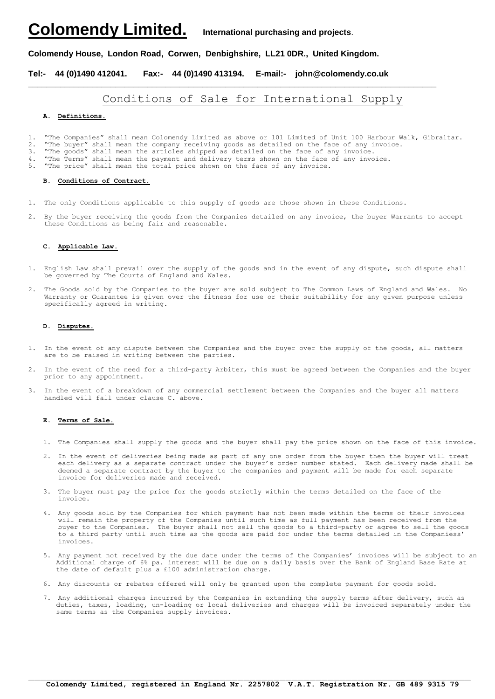## **Colomendy Limited. International purchasing and projects**.

## **Colomendy House, London Road, Corwen, Denbighshire, LL21 0DR., United Kingdom.**

**Tel:- 44 (0)1490 412041. Fax:- 44 (0)1490 413194. E-mail:- john@colomendy.co.uk**

## Conditions of Sale for International Supply

**\_\_\_\_\_\_\_\_\_\_\_\_\_\_\_\_\_\_\_\_\_\_\_\_\_\_\_\_\_\_\_\_\_\_\_\_\_\_\_\_\_\_\_\_\_\_\_\_\_\_\_\_\_\_\_\_\_\_\_\_\_\_\_\_\_\_\_\_\_\_\_\_\_\_\_\_\_\_\_\_\_\_\_\_\_\_\_\_\_**

#### **A. Definitions.**

1. "The Companies" shall mean Colomendy Limited as above or 101 Limited of Unit 100 Harbour Walk, Gibraltar. 2. "The buyer" shall mean the company receiving goods as detailed on the face of any invoice.

3. "The goods" shall mean the articles shipped as detailed on the face of any invoice.

4. "The Terms" shall mean the payment and delivery terms shown on the face of any invoice.

5. "The price" shall mean the total price shown on the face of any invoice.

#### **B. Conditions of Contract.**

- 1. The only Conditions applicable to this supply of goods are those shown in these Conditions.
- 2. By the buyer receiving the goods from the Companies detailed on any invoice, the buyer Warrants to accept these Conditions as being fair and reasonable.

#### **C. Applicable Law.**

- 1. English Law shall prevail over the supply of the goods and in the event of any dispute, such dispute shall be governed by The Courts of England and Wales.
- 2. The Goods sold by the Companies to the buyer are sold subject to The Common Laws of England and Wales. No Warranty or Guarantee is given over the fitness for use or their suitability for any given purpose unless specifically agreed in writing.

#### **D. Disputes.**

- 1. In the event of any dispute between the Companies and the buyer over the supply of the goods, all matters are to be raised in writing between the parties.
- 2. In the event of the need for a third-party Arbiter, this must be agreed between the Companies and the buyer prior to any appointment.
- 3. In the event of a breakdown of any commercial settlement between the Companies and the buyer all matters handled will fall under clause C. above.

#### **E. Terms of Sale.**

- 1. The Companies shall supply the goods and the buyer shall pay the price shown on the face of this invoice.
- 2. In the event of deliveries being made as part of any one order from the buyer then the buyer will treat each delivery as a separate contract under the buyer's order number stated. Each delivery made shall be deemed a separate contract by the buyer to the companies and payment will be made for each separate invoice for deliveries made and received.
- 3. The buyer must pay the price for the goods strictly within the terms detailed on the face of the invoice.
- 4. Any goods sold by the Companies for which payment has not been made within the terms of their invoices will remain the property of the Companies until such time as full payment has been received from the buyer to the Companies. The buyer shall not sell the goods to a third-party or agree to sell the goods to a third party until such time as the goods are paid for under the terms detailed in the Companiess' invoices.
- 5. Any payment not received by the due date under the terms of the Companies' invoices will be subject to an Additional charge of 6% pa. interest will be due on a daily basis over the Bank of England Base Rate at the date of default plus a £100 administration charge.
- 6. Any discounts or rebates offered will only be granted upon the complete payment for goods sold.
- 7. Any additional charges incurred by the Companies in extending the supply terms after delivery, such as duties, taxes, loading, un-loading or local deliveries and charges will be invoiced separately under the same terms as the Companies supply invoices.